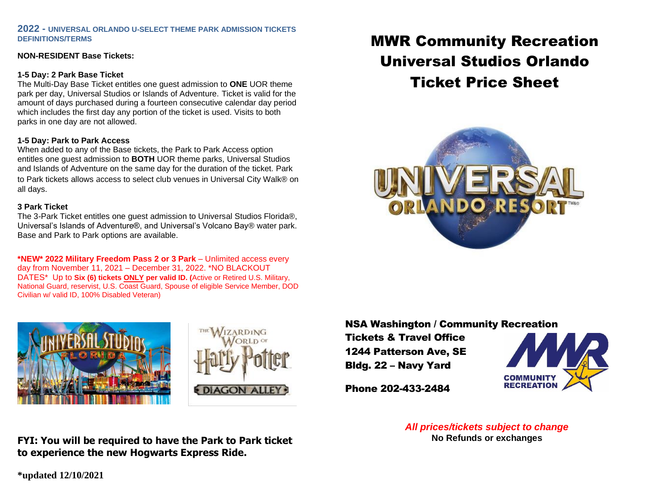## **2022 - UNIVERSAL ORLANDO U-SELECT THEME PARK ADMISSION TICKETS DEFINITIONS/TERMS**

### **NON-RESIDENT Base Tickets:**

#### **1-5 Day: 2 Park Base Ticket**

The Multi-Day Base Ticket entitles one guest admission to **ONE** UOR theme park per day, Universal Studios or Islands of Adventure. Ticket is valid for the amount of days purchased during a fourteen consecutive calendar day period which includes the first day any portion of the ticket is used. Visits to both parks in one day are not allowed.

## **1-5 Day: Park to Park Access**

When added to any of the Base tickets, the Park to Park Access option entitles one guest admission to **BOTH** UOR theme parks, Universal Studios and Islands of Adventure on the same day for the duration of the ticket. Park to Park tickets allows access to select club venues in Universal City Walk® on all days.

## **3 Park Ticket**

The 3-Park Ticket entitles one guest admission to Universal Studios Florida®, Universal's Islands of Adventure®, and Universal's Volcano Bay® water park. Base and Park to Park options are available.

**\*NEW\* 2022 Military Freedom Pass 2 or 3 Park** – Unlimited access every day from November 11, 2021 – December 31, 2022. \*NO BLACKOUT DATES\* Up to **Six (6) tickets ONLY per valid ID. (**Active or Retired U.S. Military, National Guard, reservist, U.S. Coast Guard, Spouse of eligible Service Member, DOD Civilian w/ valid ID, 100% Disabled Veteran)





**FYI: You will be required to have the Park to Park ticket to experience the new Hogwarts Express Ride.**

# MWR Community Recreation Universal Studios Orlando Ticket Price Sheet



NSA Washington / Community Recreation

Tickets & Travel Office 1244 Patterson Ave, SE Bldg. 22 – Navy Yard



Phone 202-433-2484

*All prices/tickets subject to change* **No Refunds or exchanges**

**\*updated 12/10/2021**